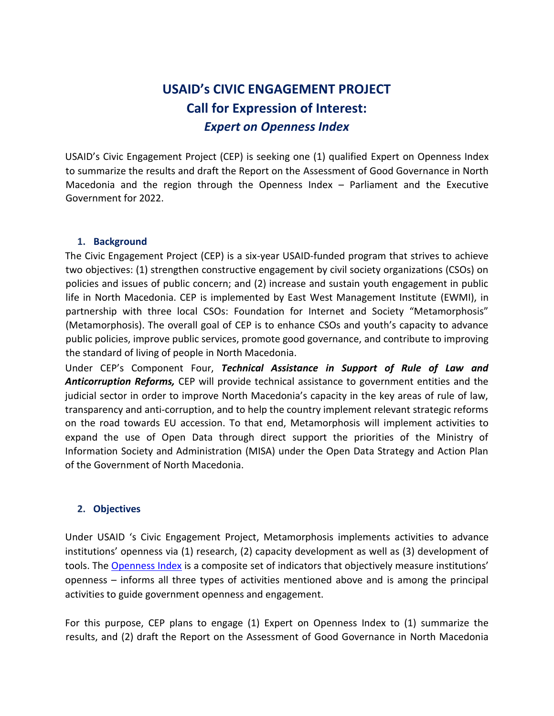# **USAID's CIVIC ENGAGEMENT PROJECT Call for Expression of Interest:**  *Expert on Openness Index*

USAID's Civic Engagement Project (CEP) is seeking one (1) qualified Expert on Openness Index to summarize the results and draft the Report on the Assessment of Good Governance in North Macedonia and the region through the Openness Index – Parliament and the Executive Government for 2022.

#### **1. Background**

The Civic Engagement Project (CEP) is a six-year USAID-funded program that strives to achieve two objectives: (1) strengthen constructive engagement by civil society organizations (CSOs) on policies and issues of public concern; and (2) increase and sustain youth engagement in public life in North Macedonia. CEP is implemented by East West Management Institute (EWMI), in partnership with three local CSOs: Foundation for Internet and Society "Metamorphosis" (Metamorphosis). The overall goal of CEP is to enhance CSOs and youth's capacity to advance public policies, improve public services, promote good governance, and contribute to improving the standard of living of people in North Macedonia.

Under CEP's Component Four, *Technical Assistance in Support of Rule of Law and Anticorruption Reforms,* CEP will provide technical assistance to government entities and the judicial sector in order to improve North Macedonia's capacity in the key areas of rule of law, transparency and anti-corruption, and to help the country implement relevant strategic reforms on the road towards EU accession. To that end, Metamorphosis will implement activities to expand the use of Open Data through direct support the priorities of the Ministry of Information Society and Administration (MISA) under the Open Data Strategy and Action Plan of the Government of North Macedonia.

#### **2. Objectives**

Under USAID 's Civic Engagement Project, Metamorphosis implements activities to advance institutions' openness via (1) research, (2) capacity development as well as (3) development of tools. The [Openness Index](https://opennessindex.actionsee.org/) [i](https://opennessindex.actionsee.org/)s a composite set of indicators that objectively measure institutions' openness – informs all three types of activities mentioned above and is among the principal activities to guide government openness and engagement.

For this purpose, CEP plans to engage (1) Expert on Openness Index to (1) summarize the results, and (2) draft the Report on the Assessment of Good Governance in North Macedonia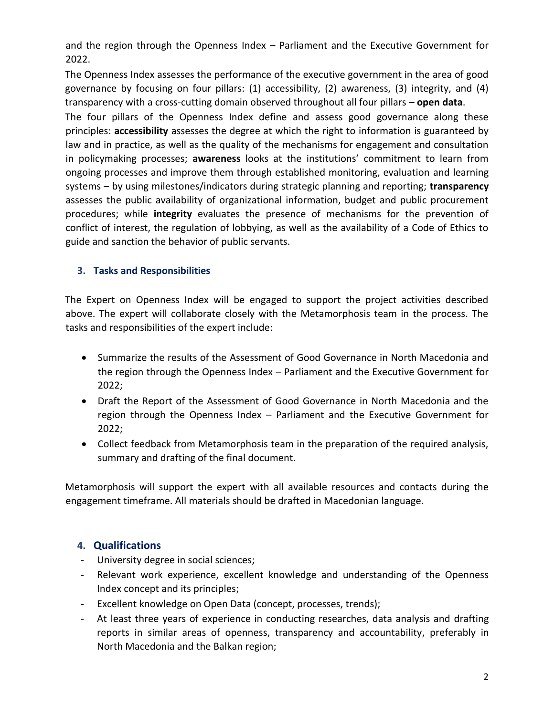and the region through the Openness Index – Parliament and the Executive Government for 2022.

The Openness Index assesses the performance of the executive government in the area of good governance by focusing on four pillars: (1) accessibility, (2) awareness, (3) integrity, and (4) transparency with a cross-cutting domain observed throughout all four pillars – **open data**.

The four pillars of the Openness Index define and assess good governance along these principles: **accessibility** assesses the degree at which the right to information is guaranteed by law and in practice, as well as the quality of the mechanisms for engagement and consultation in policymaking processes; **awareness** looks at the institutions' commitment to learn from ongoing processes and improve them through established monitoring, evaluation and learning systems – by using milestones/indicators during strategic planning and reporting; **transparency** assesses the public availability of organizational information, budget and public procurement procedures; while **integrity** evaluates the presence of mechanisms for the prevention of conflict of interest, the regulation of lobbying, as well as the availability of a Code of Ethics to guide and sanction the behavior of public servants.

### **3. Tasks and Responsibilities**

The Expert on Openness Index will be engaged to support the project activities described above. The expert will collaborate closely with the Metamorphosis team in the process. The tasks and responsibilities of the expert include:

- Summarize the results of the Assessment of Good Governance in North Macedonia and the region through the Openness Index – Parliament and the Executive Government for 2022;
- Draft the Report of the Assessment of Good Governance in North Macedonia and the region through the Openness Index – Parliament and the Executive Government for 2022;
- Collect feedback from Metamorphosis team in the preparation of the required analysis, summary and drafting of the final document.

Metamorphosis will support the expert with all available resources and contacts during the engagement timeframe. All materials should be drafted in Macedonian language.

# **4. Qualifications**

- University degree in social sciences;
- Relevant work experience, excellent knowledge and understanding of the Openness Index concept and its principles;
- Excellent knowledge on Open Data (concept, processes, trends);
- At least three years of experience in conducting researches, data analysis and drafting reports in similar areas of openness, transparency and accountability, preferably in North Macedonia and the Balkan region;